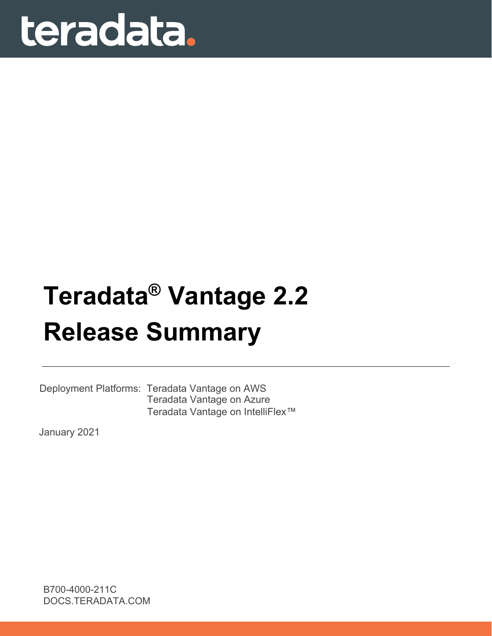# teradata.

# **Teradata® Vantage 2.2 Release Summary**

Deployment Platforms: Teradata Vantage on AWS Teradata Vantage on Azure Teradata Vantage on IntelliFlex™

January 2021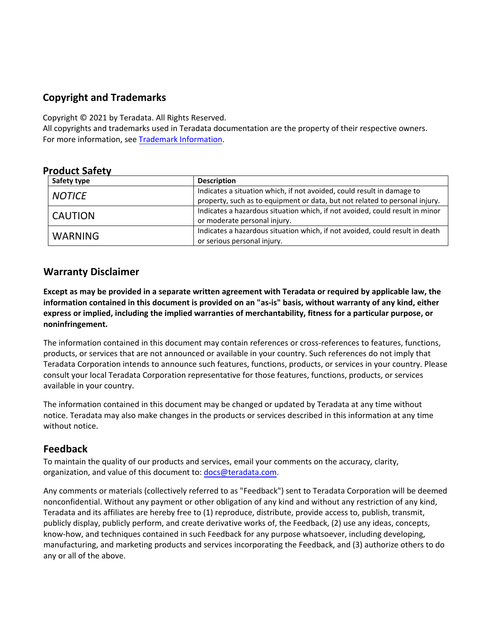## **Copyright and Trademarks**

Copyright © 2021 by Teradata. All Rights Reserved.

All copyrights and trademarks used in Teradata documentation are the property of their respective owners. For more information, see [Trademark Information](https://docs.teradata.com/access/sources/dita/map?dita:mapPath=wbc1537988759565.ditamap).

#### **Product Safety**

| Safety type    | <b>Description</b>                                                           |
|----------------|------------------------------------------------------------------------------|
| <b>NOTICE</b>  | Indicates a situation which, if not avoided, could result in damage to       |
|                | property, such as to equipment or data, but not related to personal injury.  |
|                | Indicates a hazardous situation which, if not avoided, could result in minor |
| <b>CAUTION</b> | or moderate personal injury.                                                 |
|                | Indicates a hazardous situation which, if not avoided, could result in death |
| <b>WARNING</b> | or serious personal injury.                                                  |

#### **Warranty Disclaimer**

**Except as may be provided in a separate written agreement with Teradata or required by applicable law, the information contained in this document is provided on an "as-is" basis, without warranty of any kind, either express or implied, including the implied warranties of merchantability, fitness for a particular purpose, or noninfringement.**

The information contained in this document may contain references or cross-references to features, functions, products, or services that are not announced or available in your country. Such references do not imply that Teradata Corporation intends to announce such features, functions, products, or services in your country. Please consult your local Teradata Corporation representative for those features, functions, products, or services available in your country.

The information contained in this document may be changed or updated by Teradata at any time without notice. Teradata may also make changes in the products or services described in this information at any time without notice.

#### **Feedback**

To maintain the quality of our products and services, email your comments on the accuracy, clarity, organization, and value of this document to: [docs@teradata.com](mailto:docs@teradata.com).

Any comments or materials (collectively referred to as "Feedback") sent to Teradata Corporation will be deemed nonconfidential. Without any payment or other obligation of any kind and without any restriction of any kind, Teradata and its affiliates are hereby free to (1) reproduce, distribute, provide access to, publish, transmit, publicly display, publicly perform, and create derivative works of, the Feedback, (2) use any ideas, concepts, know-how, and techniques contained in such Feedback for any purpose whatsoever, including developing, manufacturing, and marketing products and services incorporating the Feedback, and (3) authorize others to do any or all of the above.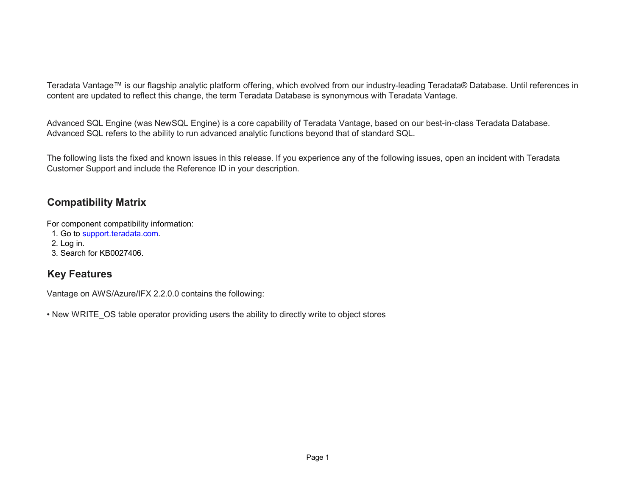Teradata Vantage™ is our flagship analytic platform offering, which evolved from our industry-leading Teradata® Database. Until references in content are updated to reflect this change, the term Teradata Database is synonymous with Teradata Vantage.

Advanced SQL Engine (was NewSQL Engine) is a core capability of Teradata Vantage, based on our best-in-class Teradata Database. Advanced SQL refers to the ability to run advanced analytic functions beyond that of standard SQL.

The following lists the fixed and known issues in this release. If you experience any of the following issues, open an incident with Teradata Customer Support and include the Reference ID in your description.

# **Com patibilit y Matrix**

For component compatibility information:

- 1. Go to [support.teradata.com.](https://support.teradata.com/csm)
- 2. Log in.
- 3. Search for KB0027406.

## **Ke y Features**

Vantage on AWS/Azure/IFX 2.2.0.0 contains the following:

• New WRITE\_OS table operator providing users the ability to directly write to object stores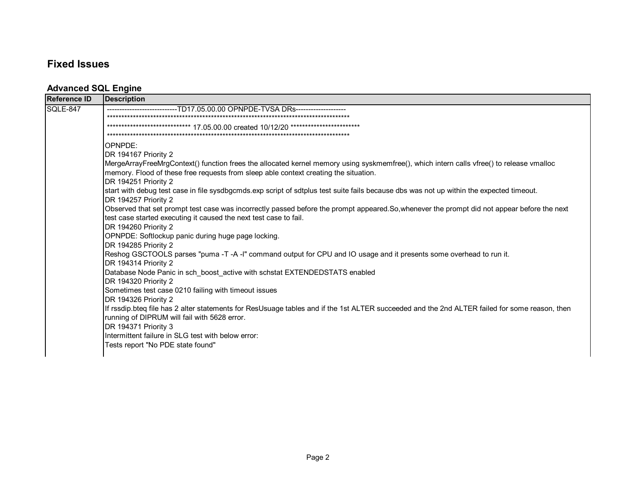# **Fixed Issues**

#### **Advanced SQL Engine**

| <b>Reference ID</b> | <b>Description</b>                                                                                                                            |
|---------------------|-----------------------------------------------------------------------------------------------------------------------------------------------|
| SQLE-847            | -------------------TD17.05.00.00                    OPNPDE-TVSA DRs-------------------                                                        |
|                     |                                                                                                                                               |
|                     | 17.05.00.00 created 10/12/20 *****                                                                                                            |
|                     |                                                                                                                                               |
|                     | OPNPDE:                                                                                                                                       |
|                     | DR 194167 Priority 2                                                                                                                          |
|                     | MergeArrayFreeMrgContext() function frees the allocated kernel memory using syskmemfree(), which intern calls vfree() to release vmalloc      |
|                     | memory. Flood of these free requests from sleep able context creating the situation.                                                          |
|                     | DR 194251 Priority 2                                                                                                                          |
|                     | start with debug test case in file sysdbgcmds.exp script of sdtplus test suite fails because dbs was not up within the expected timeout.      |
|                     | DR 194257 Priority 2                                                                                                                          |
|                     | Observed that set prompt test case was incorrectly passed before the prompt appeared. So, whenever the prompt did not appear before the next  |
|                     | test case started executing it caused the next test case to fail.                                                                             |
|                     | DR 194260 Priority 2                                                                                                                          |
|                     | OPNPDE: Softlockup panic during huge page locking.                                                                                            |
|                     | DR 194285 Priority 2                                                                                                                          |
|                     | Reshog GSCTOOLS parses "puma -T -A -I" command output for CPU and IO usage and it presents some overhead to run it.                           |
|                     | DR 194314 Priority 2                                                                                                                          |
|                     | Database Node Panic in sch_boost_active with schstat EXTENDEDSTATS enabled                                                                    |
|                     | DR 194320 Priority 2                                                                                                                          |
|                     | Sometimes test case 0210 failing with timeout issues                                                                                          |
|                     | DR 194326 Priority 2                                                                                                                          |
|                     | If rssdip.bteq file has 2 alter statements for ResUsuage tables and if the 1st ALTER succeeded and the 2nd ALTER failed for some reason, then |
|                     | running of DIPRUM will fail with 5628 error.<br>DR 194371 Priority 3                                                                          |
|                     | Intermittent failure in SLG test with below error:                                                                                            |
|                     | Tests report "No PDE state found"                                                                                                             |
|                     |                                                                                                                                               |
|                     |                                                                                                                                               |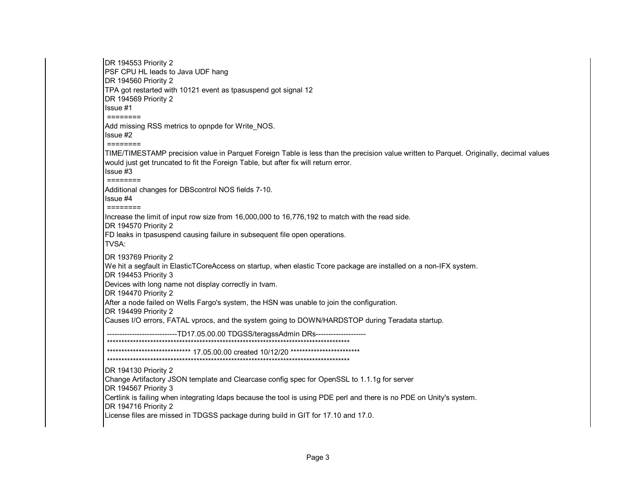DR 194553 Priority 2 PSF CPU HL leads to Java UDF hang DR 194560 Priority 2 TPA got restarted with 10121 event as tpasuspend got signal 12 DR 194569 Priority 2 Issue #1 Add missing RSS metrics to opnpde for Write\_NOS. Issue #2 TIME/TIMESTAMP precision value in Parquet Foreign Table is less than the precision value written to Parquet. Originally, decimal values would just get truncated to fit the Foreign Table, but after fix will return error. Issue #3  $=$  = = = = = = = Additional changes for DBScontrol NOS fields 7-10. Issue #4  $=$ ======= Increase the limit of input row size from 16,000,000 to 16,776,192 to match with the read side. DR 194570 Priority 2 FD leaks in tpasuspend causing failure in subsequent file open operations. TVSA: DR 193769 Priority 2 We hit a segfault in ElasticTCoreAccess on startup, when elastic Tcore package are installed on a non-IFX system. DR 194453 Priority 3 Devices with long name not display correctly in tvam. DR 194470 Priority 2 After a node failed on Wells Fargo's system, the HSN was unable to join the configuration. DR 194499 Priority 2 Causes I/O errors, FATAL vprocs, and the system going to DOWN/HARDSTOP during Teradata startup. -----------------------TD17.05.00.00 TDGSS/teragssAdmin DRs-------------DR 194130 Priority 2 Change Artifactory JSON template and Clearcase config spec for OpenSSL to 1.1.1g for server DR 194567 Priority 3 Certlink is failing when integrating Idaps because the tool is using PDE perl and there is no PDE on Unity's system. DR 194716 Priority 2 License files are missed in TDGSS package during build in GIT for 17.10 and 17.0.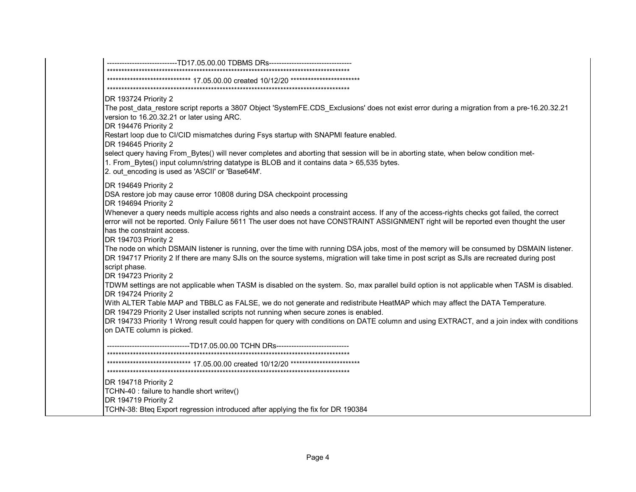|                                                                    | -------------------------TD17.05.00.00 TDBMS DRs--------------------------------                                                                                                                                                                                                           |
|--------------------------------------------------------------------|--------------------------------------------------------------------------------------------------------------------------------------------------------------------------------------------------------------------------------------------------------------------------------------------|
|                                                                    |                                                                                                                                                                                                                                                                                            |
|                                                                    |                                                                                                                                                                                                                                                                                            |
| DR 193724 Priority 2                                               |                                                                                                                                                                                                                                                                                            |
| version to 16.20.32.21 or later using ARC.<br>DR 194476 Priority 2 | The post_data_restore script reports a 3807 Object 'SystemFE.CDS_Exclusions' does not exist error during a migration from a pre-16.20.32.21                                                                                                                                                |
| DR 194645 Priority 2                                               | Restart loop due to CI/CID mismatches during Fsys startup with SNAPMI feature enabled.                                                                                                                                                                                                     |
| 2. out_encoding is used as 'ASCII' or 'Base64M'.                   | select query having From_Bytes() will never completes and aborting that session will be in aborting state, when below condition met-<br>1. From_Bytes() input column/string datatype is BLOB and it contains data > 65,535 bytes.                                                          |
| DR 194649 Priority 2                                               |                                                                                                                                                                                                                                                                                            |
| DR 194694 Priority 2                                               | DSA restore job may cause error 10808 during DSA checkpoint processing                                                                                                                                                                                                                     |
| has the constraint access.<br>DR 194703 Priority 2                 | Whenever a query needs multiple access rights and also needs a constraint access. If any of the access-rights checks got failed, the correct<br>error will not be reported. Only Failure 5611 The user does not have CONSTRAINT ASSIGNMENT right will be reported even thought the user    |
| script phase.<br>DR 194723 Priority 2                              | The node on which DSMAIN listener is running, over the time with running DSA jobs, most of the memory will be consumed by DSMAIN listener.<br>DR 194717 Priority 2 If there are many SJIs on the source systems, migration will take time in post script as SJIs are recreated during post |
| DR 194724 Priority 2                                               | TDWM settings are not applicable when TASM is disabled on the system. So, max parallel build option is not applicable when TASM is disabled.                                                                                                                                               |
|                                                                    | With ALTER Table MAP and TBBLC as FALSE, we do not generate and redistribute HeatMAP which may affect the DATA Temperature.<br>DR 194729 Priority 2 User installed scripts not running when secure zones is enabled.                                                                       |
| on DATE column is picked.                                          | DR 194733 Priority 1 Wrong result could happen for query with conditions on DATE column and using EXTRACT, and a join index with conditions                                                                                                                                                |
|                                                                    | ---------------------TD17.05.00.00 TCHN DRs-----------------------                                                                                                                                                                                                                         |
|                                                                    |                                                                                                                                                                                                                                                                                            |
| DR 194718 Priority 2                                               |                                                                                                                                                                                                                                                                                            |
| TCHN-40 : failure to handle short writev()                         |                                                                                                                                                                                                                                                                                            |
| DR 194719 Priority 2                                               |                                                                                                                                                                                                                                                                                            |
|                                                                    | TCHN-38: Bteq Export regression introduced after applying the fix for DR 190384                                                                                                                                                                                                            |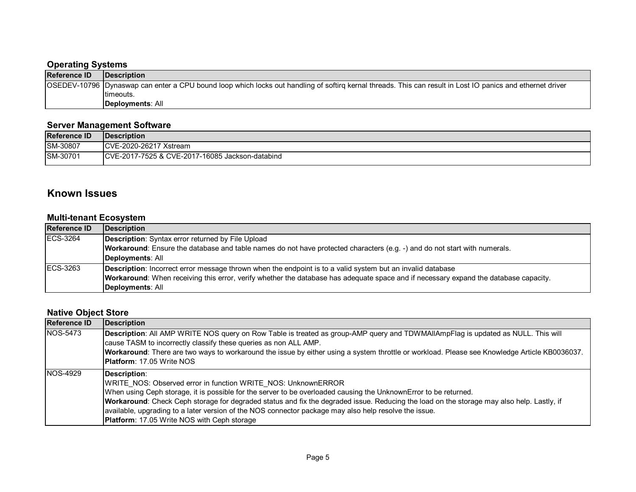#### **Operating Systems**

|                     | <b>Production</b>                                                                                                                                          |  |
|---------------------|------------------------------------------------------------------------------------------------------------------------------------------------------------|--|
| <b>Reference ID</b> | <b>IDescription</b>                                                                                                                                        |  |
|                     | OSEDEV-10796 Dynaswap can enter a CPU bound loop which locks out handling of softirg kernal threads. This can result in Lost IO panics and ethernet driver |  |
|                     | Itimeouts.                                                                                                                                                 |  |
|                     | Deployments: All                                                                                                                                           |  |

#### **Server Management Software**

| <b>Reference ID</b> | Description                                                |
|---------------------|------------------------------------------------------------|
| SM-30807            | ICVE-2020-26217 Xstream                                    |
| <b>ISM-30701</b>    | CVE-2017-16085<br>ICVE-2017-7525 & C<br>5 Jackson-databind |

#### **Known Issues**

#### **Multi-tenant Ecosystem**

| <b>Reference ID</b> | Description                                                                                                                          |
|---------------------|--------------------------------------------------------------------------------------------------------------------------------------|
| ECS-3264            | Description: Syntax error returned by File Upload                                                                                    |
|                     | <b>Workaround</b> : Ensure the database and table names do not have protected characters (e.g. -) and do not start with numerals.    |
|                     | Deployments: All                                                                                                                     |
| <b>IECS-3263</b>    | <b>Description:</b> Incorrect error message thrown when the endpoint is to a valid system but an invalid database                    |
|                     | Workaround: When receiving this error, verify whether the database has adequate space and if necessary expand the database capacity. |
|                     | Deployments: All                                                                                                                     |

#### **Native Object Store**

| <b>Reference ID</b> | Description                                                                                                                                                                                                                                                                                                                                                                                                                                                                                                   |
|---------------------|---------------------------------------------------------------------------------------------------------------------------------------------------------------------------------------------------------------------------------------------------------------------------------------------------------------------------------------------------------------------------------------------------------------------------------------------------------------------------------------------------------------|
| NOS-5473            | Description: All AMP WRITE NOS query on Row Table is treated as group-AMP query and TDWMAIIAmpFlag is updated as NULL. This will<br>cause TASM to incorrectly classify these queries as non ALL AMP.<br>Workaround: There are two ways to workaround the issue by either using a system throttle or workload. Please see Knowledge Article KB0036037.<br><b>Platform: 17.05 Write NOS</b>                                                                                                                     |
| NOS-4929            | Description:<br>WRITE NOS: Observed error in function WRITE NOS: UnknownERROR<br>When using Ceph storage, it is possible for the server to be overloaded causing the UnknownError to be returned.<br>Workaround: Check Ceph storage for degraded status and fix the degraded issue. Reducing the load on the storage may also help. Lastly, if<br>available, upgrading to a later version of the NOS connector package may also help resolve the issue.<br><b>Platform: 17.05 Write NOS with Ceph storage</b> |